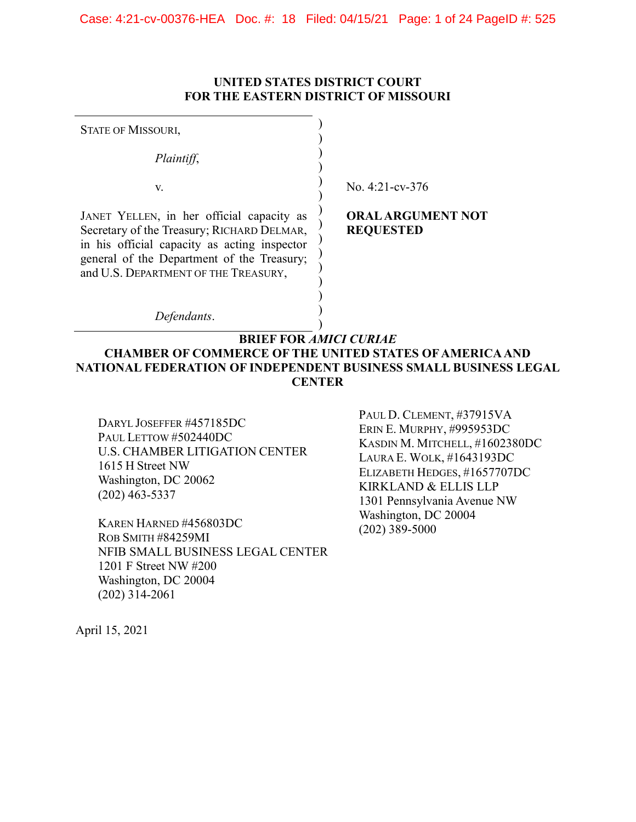## UNITED STATES DISTRICT COURT FOR THE EASTERN DISTRICT OF MISSOURI

| <b>STATE OF MISSOURI,</b>                                                                                                                                                                                                     |                                              |
|-------------------------------------------------------------------------------------------------------------------------------------------------------------------------------------------------------------------------------|----------------------------------------------|
| Plaintiff,                                                                                                                                                                                                                    |                                              |
| V.                                                                                                                                                                                                                            | No. $4:21$ -cv- $376$                        |
| JANET YELLEN, in her official capacity as<br>Secretary of the Treasury; RICHARD DELMAR,<br>in his official capacity as acting inspector<br>general of the Department of the Treasury;<br>and U.S. DEPARTMENT OF THE TREASURY, | <b>ORAL ARGUMENT NOT</b><br><b>REQUESTED</b> |
| Defendants.                                                                                                                                                                                                                   |                                              |
| <b>BRIEF FOR AMICI CURIAE</b><br><b>CHAMBER OF COMMERCE OF THE UNITED STATES OF AMERICA AND</b><br>NATIONAL FEDERATION OF INDEPENDENT BUSINESS SMALL BUSINESS LEGAL<br><b>CENTER</b>                                          |                                              |

DARYL JOSEFFER #457185DC PAUL LETTOW #502440DC U.S. CHAMBER LITIGATION CENTER 1615 H Street NW Washington, DC 20062 (202) 463-5337

KAREN HARNED #456803DC ROB SMITH #84259MI NFIB SMALL BUSINESS LEGAL CENTER 1201 F Street NW #200 Washington, DC 20004 (202) 314-2061

PAUL D. CLEMENT, #37915VA ERIN E. MURPHY, #995953DC KASDIN M. MITCHELL, #1602380DC LAURA E. WOLK, #1643193DC ELIZABETH HEDGES, #1657707DC KIRKLAND & ELLIS LLP 1301 Pennsylvania Avenue NW Washington, DC 20004  $(202)$  389-5000

April 15, 2021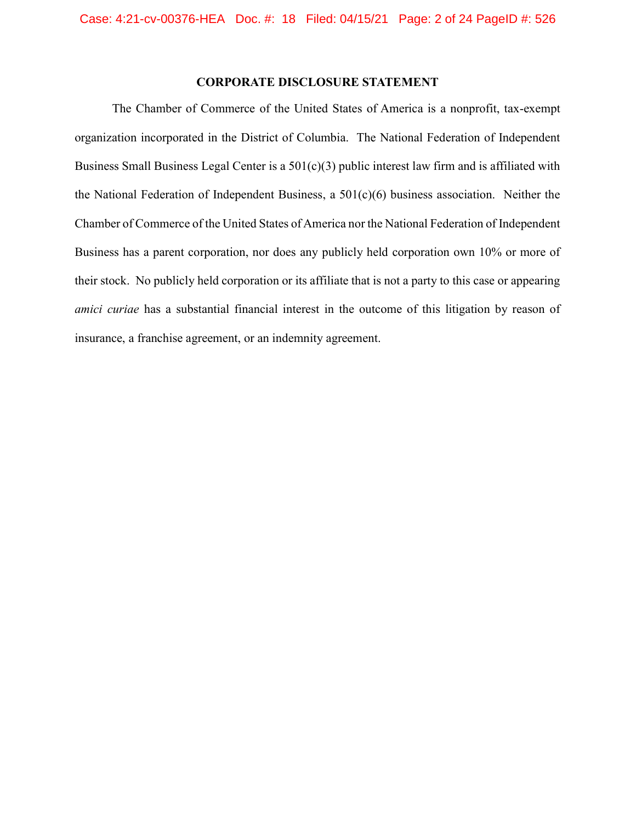## CORPORATE DISCLOSURE STATEMENT

The Chamber of Commerce of the United States of America is a nonprofit, tax-exempt organization incorporated in the District of Columbia. The National Federation of Independent Business Small Business Legal Center is a 501(c)(3) public interest law firm and is affiliated with the National Federation of Independent Business, a 501(c)(6) business association. Neither the Chamber of Commerce of the United States of America nor the National Federation of Independent Business has a parent corporation, nor does any publicly held corporation own 10% or more of their stock. No publicly held corporation or its affiliate that is not a party to this case or appearing amici curiae has a substantial financial interest in the outcome of this litigation by reason of insurance, a franchise agreement, or an indemnity agreement.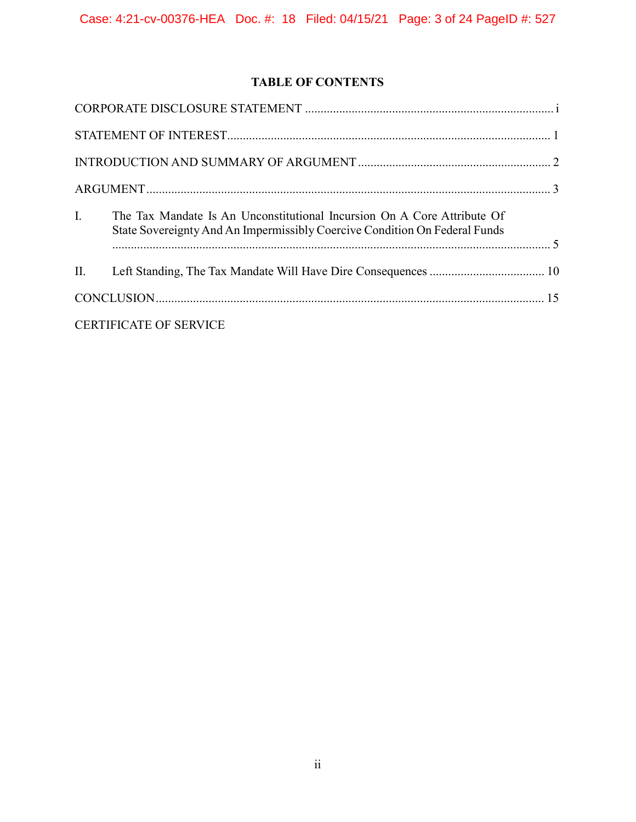# TABLE OF CONTENTS

| $\mathbf{L}$ | The Tax Mandate Is An Unconstitutional Incursion On A Core Attribute Of<br>State Sovereignty And An Impermissibly Coercive Condition On Federal Funds |  |
|--------------|-------------------------------------------------------------------------------------------------------------------------------------------------------|--|
|              |                                                                                                                                                       |  |
|              |                                                                                                                                                       |  |
|              | <b>CERTIFICATE OF SERVICE</b>                                                                                                                         |  |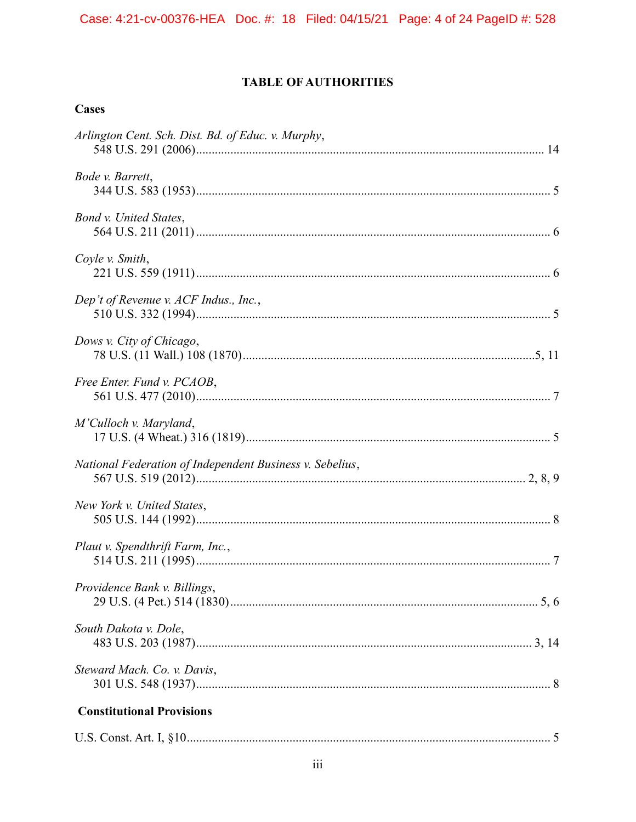# **TABLE OF AUTHORITIES**

## **Cases**

| Arlington Cent. Sch. Dist. Bd. of Educ. v. Murphy,       |
|----------------------------------------------------------|
| Bode v. Barrett,                                         |
| Bond v. United States,                                   |
| Coyle v. Smith,                                          |
| Dep't of Revenue v. ACF Indus., Inc.,                    |
| Dows v. City of Chicago,                                 |
| Free Enter. Fund v. PCAOB,                               |
| M'Culloch v. Maryland,                                   |
| National Federation of Independent Business v. Sebelius, |
| New York v. United States,                               |
| Plaut v. Spendthrift Farm, Inc.,                         |
| Providence Bank v. Billings,                             |
| South Dakota v. Dole,                                    |
| Steward Mach. Co. v. Davis,                              |
| <b>Constitutional Provisions</b>                         |
|                                                          |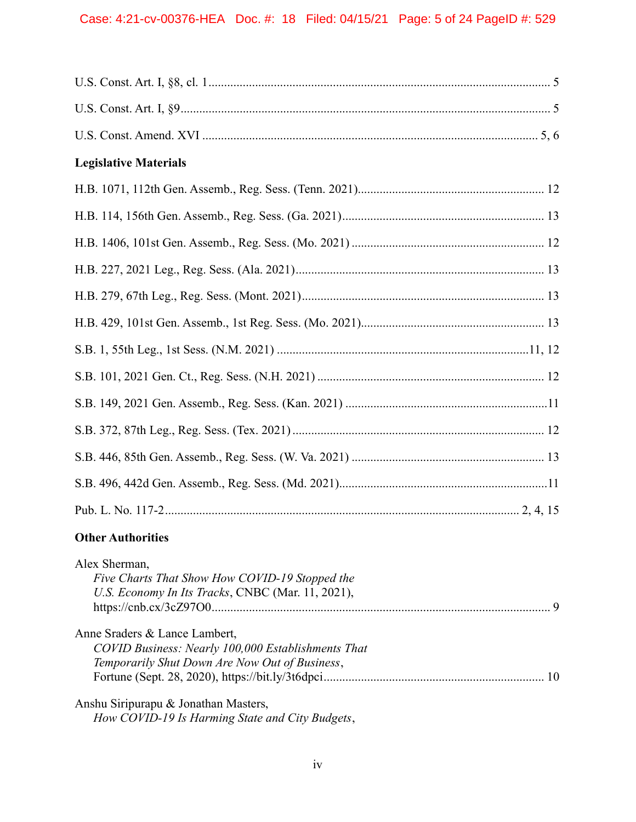| <b>Legislative Materials</b>                                                                                                          |  |
|---------------------------------------------------------------------------------------------------------------------------------------|--|
|                                                                                                                                       |  |
|                                                                                                                                       |  |
|                                                                                                                                       |  |
|                                                                                                                                       |  |
|                                                                                                                                       |  |
|                                                                                                                                       |  |
|                                                                                                                                       |  |
|                                                                                                                                       |  |
|                                                                                                                                       |  |
|                                                                                                                                       |  |
|                                                                                                                                       |  |
|                                                                                                                                       |  |
|                                                                                                                                       |  |
| <b>Other Authorities</b>                                                                                                              |  |
| Alex Sherman,<br>Five Charts That Show How COVID-19 Stopped the<br>U.S. Economy In Its Tracks, CNBC (Mar. 11, 2021),                  |  |
| Anne Sraders & Lance Lambert,<br>COVID Business: Nearly 100,000 Establishments That<br>Temporarily Shut Down Are Now Out of Business, |  |
| Anshu Siripurapu & Jonathan Masters,                                                                                                  |  |

How COVID-19 Is Harming State and City Budgets,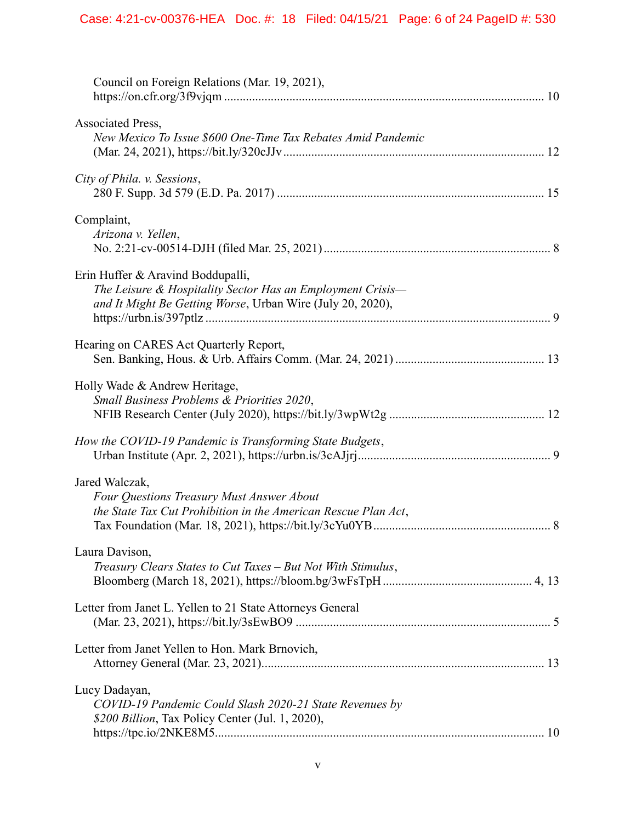| Council on Foreign Relations (Mar. 19, 2021),                                                                                                                 |
|---------------------------------------------------------------------------------------------------------------------------------------------------------------|
| Associated Press,<br>New Mexico To Issue \$600 One-Time Tax Rebates Amid Pandemic                                                                             |
| City of Phila. v. Sessions,                                                                                                                                   |
| Complaint,<br>Arizona v. Yellen,                                                                                                                              |
| Erin Huffer & Aravind Boddupalli,<br>The Leisure & Hospitality Sector Has an Employment Crisis-<br>and It Might Be Getting Worse, Urban Wire (July 20, 2020), |
| Hearing on CARES Act Quarterly Report,                                                                                                                        |
| Holly Wade & Andrew Heritage,<br>Small Business Problems & Priorities 2020,                                                                                   |
| How the COVID-19 Pandemic is Transforming State Budgets,                                                                                                      |
| Jared Walczak,<br>Four Questions Treasury Must Answer About<br>the State Tax Cut Prohibition in the American Rescue Plan Act,                                 |
| Laura Davison,<br>Treasury Clears States to Cut Taxes - But Not With Stimulus,                                                                                |
| Letter from Janet L. Yellen to 21 State Attorneys General                                                                                                     |
| Letter from Janet Yellen to Hon. Mark Brnovich,                                                                                                               |
| Lucy Dadayan,<br>COVID-19 Pandemic Could Slash 2020-21 State Revenues by<br>\$200 Billion, Tax Policy Center (Jul. 1, 2020),                                  |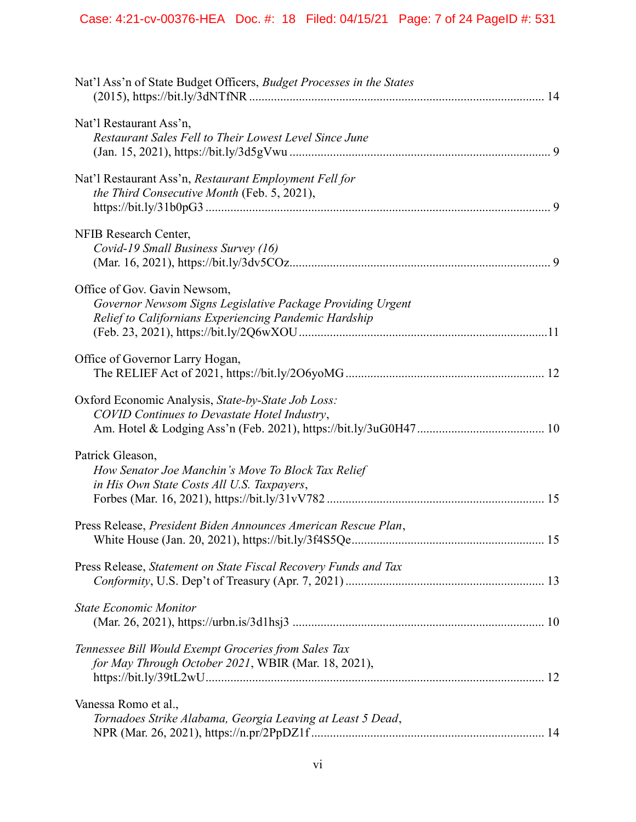| Nat'l Ass'n of State Budget Officers, Budget Processes in the States                                                                                |
|-----------------------------------------------------------------------------------------------------------------------------------------------------|
| Nat'l Restaurant Ass'n,<br>Restaurant Sales Fell to Their Lowest Level Since June                                                                   |
| Nat'l Restaurant Ass'n, Restaurant Employment Fell for<br>the Third Consecutive Month (Feb. 5, 2021),                                               |
| NFIB Research Center,<br>Covid-19 Small Business Survey (16)                                                                                        |
| Office of Gov. Gavin Newsom,<br>Governor Newsom Signs Legislative Package Providing Urgent<br>Relief to Californians Experiencing Pandemic Hardship |
| Office of Governor Larry Hogan,                                                                                                                     |
| Oxford Economic Analysis, State-by-State Job Loss:<br>COVID Continues to Devastate Hotel Industry,                                                  |
| Patrick Gleason,<br>How Senator Joe Manchin's Move To Block Tax Relief<br>in His Own State Costs All U.S. Taxpayers,                                |
| Press Release, President Biden Announces American Rescue Plan,                                                                                      |
| Press Release, Statement on State Fiscal Recovery Funds and Tax                                                                                     |
| <b>State Economic Monitor</b>                                                                                                                       |
| Tennessee Bill Would Exempt Groceries from Sales Tax<br>for May Through October 2021, WBIR (Mar. 18, 2021),                                         |
| Vanessa Romo et al.,<br>Tornadoes Strike Alabama, Georgia Leaving at Least 5 Dead,                                                                  |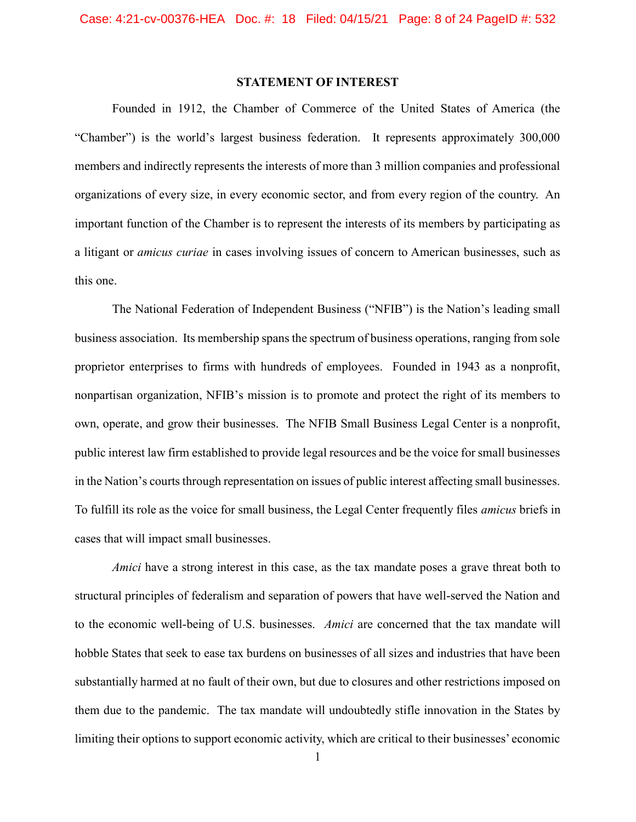### STATEMENT OF INTEREST

Founded in 1912, the Chamber of Commerce of the United States of America (the "Chamber") is the world's largest business federation. It represents approximately 300,000 members and indirectly represents the interests of more than 3 million companies and professional organizations of every size, in every economic sector, and from every region of the country. An important function of the Chamber is to represent the interests of its members by participating as a litigant or amicus curiae in cases involving issues of concern to American businesses, such as this one.

The National Federation of Independent Business ("NFIB") is the Nation's leading small business association. Its membership spans the spectrum of business operations, ranging from sole proprietor enterprises to firms with hundreds of employees. Founded in 1943 as a nonprofit, nonpartisan organization, NFIB's mission is to promote and protect the right of its members to own, operate, and grow their businesses. The NFIB Small Business Legal Center is a nonprofit, public interest law firm established to provide legal resources and be the voice for small businesses in the Nation's courts through representation on issues of public interest affecting small businesses. To fulfill its role as the voice for small business, the Legal Center frequently files amicus briefs in cases that will impact small businesses.

Amici have a strong interest in this case, as the tax mandate poses a grave threat both to structural principles of federalism and separation of powers that have well-served the Nation and to the economic well-being of U.S. businesses. Amici are concerned that the tax mandate will hobble States that seek to ease tax burdens on businesses of all sizes and industries that have been substantially harmed at no fault of their own, but due to closures and other restrictions imposed on them due to the pandemic. The tax mandate will undoubtedly stifle innovation in the States by limiting their options to support economic activity, which are critical to their businesses' economic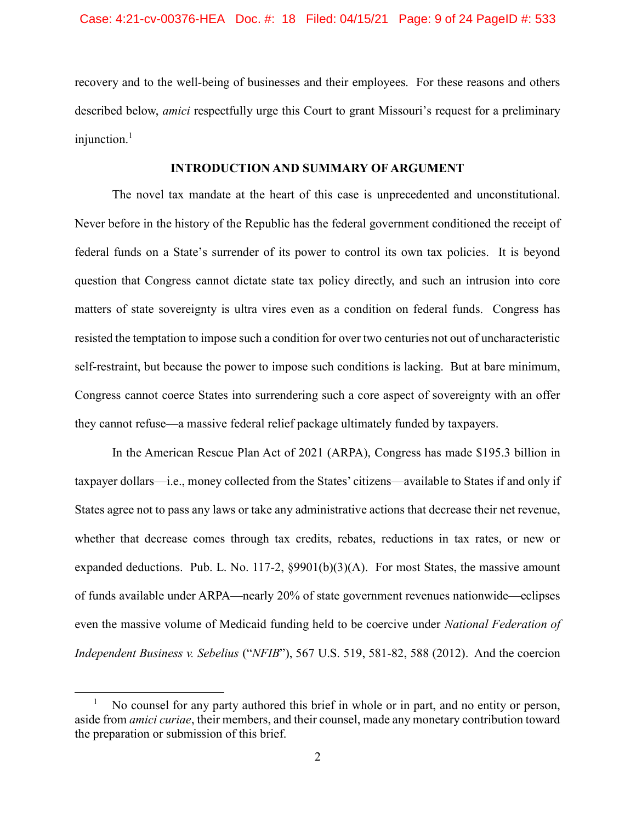recovery and to the well-being of businesses and their employees. For these reasons and others described below, amici respectfully urge this Court to grant Missouri's request for a preliminary injunction. $<sup>1</sup>$ </sup>

### INTRODUCTION AND SUMMARY OF ARGUMENT

The novel tax mandate at the heart of this case is unprecedented and unconstitutional. Never before in the history of the Republic has the federal government conditioned the receipt of federal funds on a State's surrender of its power to control its own tax policies. It is beyond question that Congress cannot dictate state tax policy directly, and such an intrusion into core matters of state sovereignty is ultra vires even as a condition on federal funds. Congress has resisted the temptation to impose such a condition for over two centuries not out of uncharacteristic self-restraint, but because the power to impose such conditions is lacking. But at bare minimum, Congress cannot coerce States into surrendering such a core aspect of sovereignty with an offer they cannot refuse—a massive federal relief package ultimately funded by taxpayers.

In the American Rescue Plan Act of 2021 (ARPA), Congress has made \$195.3 billion in taxpayer dollars—i.e., money collected from the States' citizens—available to States if and only if States agree not to pass any laws or take any administrative actions that decrease their net revenue, whether that decrease comes through tax credits, rebates, reductions in tax rates, or new or expanded deductions. Pub. L. No. 117-2,  $\S 9901(b)(3)(A)$ . For most States, the massive amount of funds available under ARPA—nearly 20% of state government revenues nationwide—eclipses even the massive volume of Medicaid funding held to be coercive under *National Federation of* Independent Business v. Sebelius ("NFIB"), 567 U.S. 519, 581-82, 588 (2012). And the coercion

 $\overline{a}$ 

<sup>1</sup> No counsel for any party authored this brief in whole or in part, and no entity or person, aside from amici curiae, their members, and their counsel, made any monetary contribution toward the preparation or submission of this brief.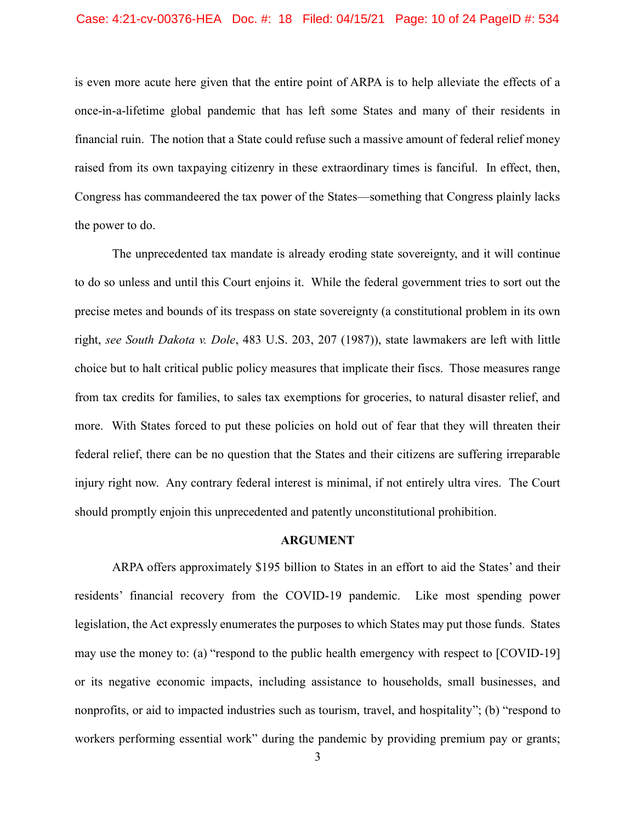is even more acute here given that the entire point of ARPA is to help alleviate the effects of a once-in-a-lifetime global pandemic that has left some States and many of their residents in financial ruin. The notion that a State could refuse such a massive amount of federal relief money raised from its own taxpaying citizenry in these extraordinary times is fanciful. In effect, then, Congress has commandeered the tax power of the States—something that Congress plainly lacks the power to do.

The unprecedented tax mandate is already eroding state sovereignty, and it will continue to do so unless and until this Court enjoins it. While the federal government tries to sort out the precise metes and bounds of its trespass on state sovereignty (a constitutional problem in its own right, see South Dakota v. Dole, 483 U.S. 203, 207 (1987)), state lawmakers are left with little choice but to halt critical public policy measures that implicate their fiscs. Those measures range from tax credits for families, to sales tax exemptions for groceries, to natural disaster relief, and more. With States forced to put these policies on hold out of fear that they will threaten their federal relief, there can be no question that the States and their citizens are suffering irreparable injury right now. Any contrary federal interest is minimal, if not entirely ultra vires. The Court should promptly enjoin this unprecedented and patently unconstitutional prohibition.

#### ARGUMENT

ARPA offers approximately \$195 billion to States in an effort to aid the States' and their residents' financial recovery from the COVID-19 pandemic. Like most spending power legislation, the Act expressly enumerates the purposes to which States may put those funds. States may use the money to: (a) "respond to the public health emergency with respect to [COVID-19] or its negative economic impacts, including assistance to households, small businesses, and nonprofits, or aid to impacted industries such as tourism, travel, and hospitality"; (b) "respond to workers performing essential work" during the pandemic by providing premium pay or grants;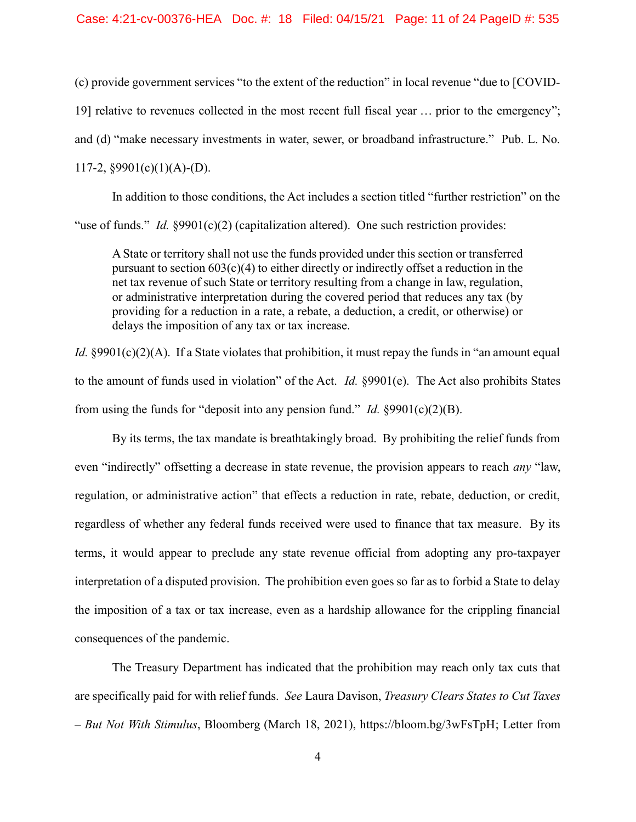#### Case: 4:21-cv-00376-HEA Doc. #: 18 Filed: 04/15/21 Page: 11 of 24 PageID #: 535

(c) provide government services "to the extent of the reduction" in local revenue "due to [COVID-19] relative to revenues collected in the most recent full fiscal year … prior to the emergency"; and (d) "make necessary investments in water, sewer, or broadband infrastructure." Pub. L. No. 117-2,  $§9901(c)(1)(A)-(D)$ .

In addition to those conditions, the Act includes a section titled "further restriction" on the "use of funds." *Id.*  $§9901(c)(2)$  (capitalization altered). One such restriction provides:

A State or territory shall not use the funds provided under this section or transferred pursuant to section  $603(c)(4)$  to either directly or indirectly offset a reduction in the net tax revenue of such State or territory resulting from a change in law, regulation, or administrative interpretation during the covered period that reduces any tax (by providing for a reduction in a rate, a rebate, a deduction, a credit, or otherwise) or delays the imposition of any tax or tax increase.

*Id.*  $\S9901(c)(2)(A)$ . If a State violates that prohibition, it must repay the funds in "an amount equal to the amount of funds used in violation" of the Act. *Id.* §9901(e). The Act also prohibits States from using the funds for "deposit into any pension fund." *Id.*  $\S 9901(c)(2)(B)$ .

By its terms, the tax mandate is breathtakingly broad. By prohibiting the relief funds from even "indirectly" offsetting a decrease in state revenue, the provision appears to reach *any* "law, regulation, or administrative action" that effects a reduction in rate, rebate, deduction, or credit, regardless of whether any federal funds received were used to finance that tax measure. By its terms, it would appear to preclude any state revenue official from adopting any pro-taxpayer interpretation of a disputed provision. The prohibition even goes so far as to forbid a State to delay the imposition of a tax or tax increase, even as a hardship allowance for the crippling financial consequences of the pandemic.

The Treasury Department has indicated that the prohibition may reach only tax cuts that are specifically paid for with relief funds. See Laura Davison, Treasury Clears States to Cut Taxes – But Not With Stimulus, Bloomberg (March 18, 2021), https://bloom.bg/3wFsTpH; Letter from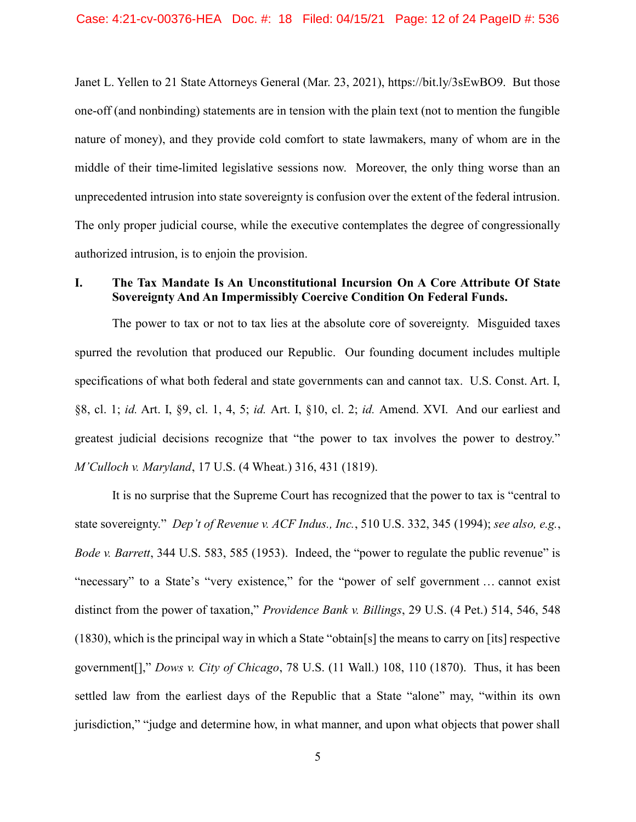Janet L. Yellen to 21 State Attorneys General (Mar. 23, 2021), https://bit.ly/3sEwBO9. But those one-off (and nonbinding) statements are in tension with the plain text (not to mention the fungible nature of money), and they provide cold comfort to state lawmakers, many of whom are in the middle of their time-limited legislative sessions now. Moreover, the only thing worse than an unprecedented intrusion into state sovereignty is confusion over the extent of the federal intrusion. The only proper judicial course, while the executive contemplates the degree of congressionally authorized intrusion, is to enjoin the provision.

## I. The Tax Mandate Is An Unconstitutional Incursion On A Core Attribute Of State Sovereignty And An Impermissibly Coercive Condition On Federal Funds.

The power to tax or not to tax lies at the absolute core of sovereignty. Misguided taxes spurred the revolution that produced our Republic. Our founding document includes multiple specifications of what both federal and state governments can and cannot tax. U.S. Const. Art. I, §8, cl. 1; id. Art. I, §9, cl. 1, 4, 5; id. Art. I, §10, cl. 2; id. Amend. XVI. And our earliest and greatest judicial decisions recognize that "the power to tax involves the power to destroy." M'Culloch v. Maryland, 17 U.S. (4 Wheat.) 316, 431 (1819).

It is no surprise that the Supreme Court has recognized that the power to tax is "central to state sovereignty." Dep't of Revenue v. ACF Indus., Inc., 510 U.S. 332, 345 (1994); see also, e.g., Bode v. Barrett, 344 U.S. 583, 585 (1953). Indeed, the "power to regulate the public revenue" is "necessary" to a State's "very existence," for the "power of self government ... cannot exist distinct from the power of taxation," Providence Bank v. Billings, 29 U.S. (4 Pet.) 514, 546, 548 (1830), which is the principal way in which a State "obtain[s] the means to carry on [its] respective government[]," Dows v. City of Chicago, 78 U.S. (11 Wall.) 108, 110 (1870). Thus, it has been settled law from the earliest days of the Republic that a State "alone" may, "within its own jurisdiction," "judge and determine how, in what manner, and upon what objects that power shall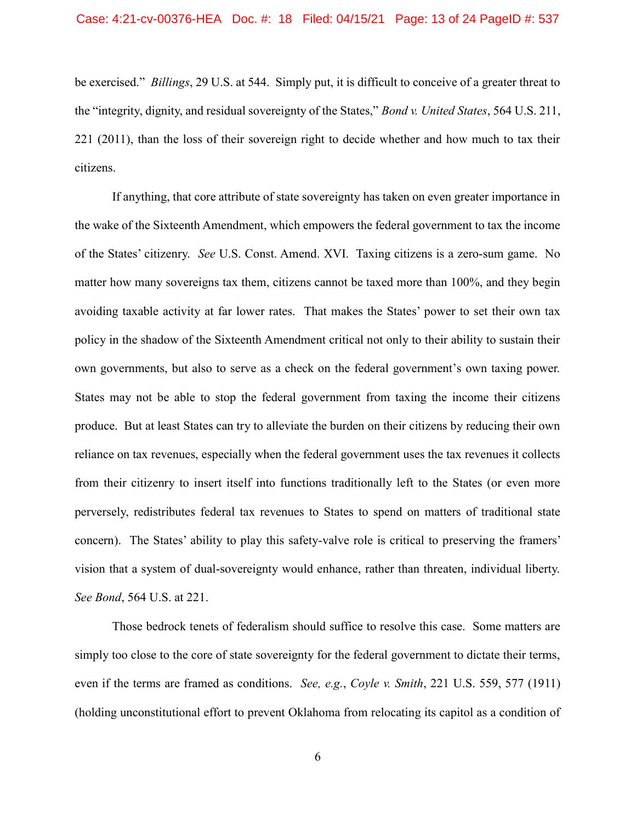be exercised." *Billings*, 29 U.S. at 544. Simply put, it is difficult to conceive of a greater threat to the "integrity, dignity, and residual sovereignty of the States," Bond v. United States, 564 U.S. 211, 221 (2011), than the loss of their sovereign right to decide whether and how much to tax their citizens.

If anything, that core attribute of state sovereignty has taken on even greater importance in the wake of the Sixteenth Amendment, which empowers the federal government to tax the income of the States' citizenry. See U.S. Const. Amend. XVI. Taxing citizens is a zero-sum game. No matter how many sovereigns tax them, citizens cannot be taxed more than 100%, and they begin avoiding taxable activity at far lower rates. That makes the States' power to set their own tax policy in the shadow of the Sixteenth Amendment critical not only to their ability to sustain their own governments, but also to serve as a check on the federal government's own taxing power. States may not be able to stop the federal government from taxing the income their citizens produce. But at least States can try to alleviate the burden on their citizens by reducing their own reliance on tax revenues, especially when the federal government uses the tax revenues it collects from their citizenry to insert itself into functions traditionally left to the States (or even more perversely, redistributes federal tax revenues to States to spend on matters of traditional state concern). The States' ability to play this safety-valve role is critical to preserving the framers' vision that a system of dual-sovereignty would enhance, rather than threaten, individual liberty. See Bond, 564 U.S. at 221.

Those bedrock tenets of federalism should suffice to resolve this case. Some matters are simply too close to the core of state sovereignty for the federal government to dictate their terms, even if the terms are framed as conditions. See, e.g., Coyle v. Smith, 221 U.S. 559, 577 (1911) (holding unconstitutional effort to prevent Oklahoma from relocating its capitol as a condition of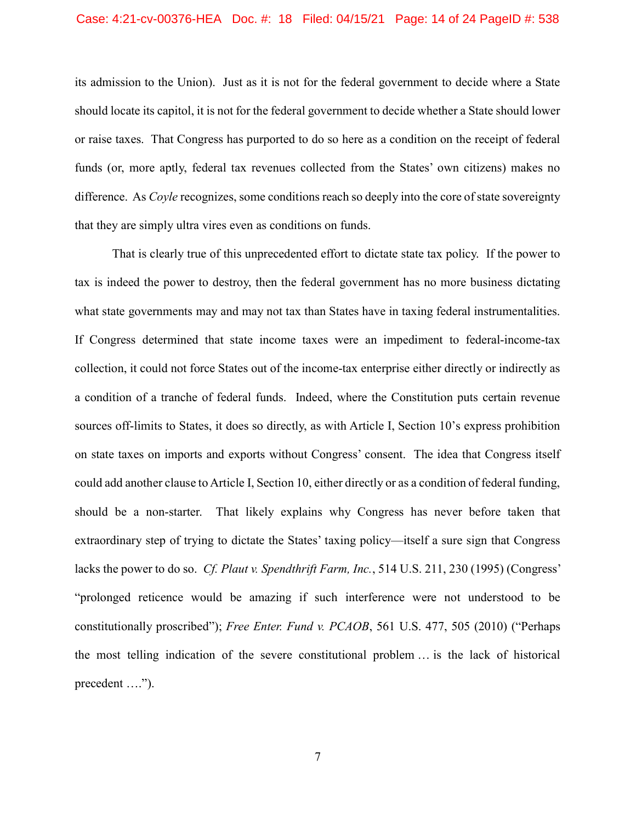#### Case: 4:21-cv-00376-HEA Doc. #: 18 Filed: 04/15/21 Page: 14 of 24 PageID #: 538

its admission to the Union). Just as it is not for the federal government to decide where a State should locate its capitol, it is not for the federal government to decide whether a State should lower or raise taxes. That Congress has purported to do so here as a condition on the receipt of federal funds (or, more aptly, federal tax revenues collected from the States' own citizens) makes no difference. As *Coyle* recognizes, some conditions reach so deeply into the core of state sovereignty that they are simply ultra vires even as conditions on funds.

That is clearly true of this unprecedented effort to dictate state tax policy. If the power to tax is indeed the power to destroy, then the federal government has no more business dictating what state governments may and may not tax than States have in taxing federal instrumentalities. If Congress determined that state income taxes were an impediment to federal-income-tax collection, it could not force States out of the income-tax enterprise either directly or indirectly as a condition of a tranche of federal funds. Indeed, where the Constitution puts certain revenue sources off-limits to States, it does so directly, as with Article I, Section 10's express prohibition on state taxes on imports and exports without Congress' consent. The idea that Congress itself could add another clause to Article I, Section 10, either directly or as a condition of federal funding, should be a non-starter. That likely explains why Congress has never before taken that extraordinary step of trying to dictate the States' taxing policy—itself a sure sign that Congress lacks the power to do so. *Cf. Plaut v. Spendthrift Farm, Inc.*, 514 U.S. 211, 230 (1995) (Congress' "prolonged reticence would be amazing if such interference were not understood to be constitutionally proscribed"); Free Enter. Fund v. PCAOB, 561 U.S. 477, 505 (2010) ("Perhaps the most telling indication of the severe constitutional problem … is the lack of historical precedent ....").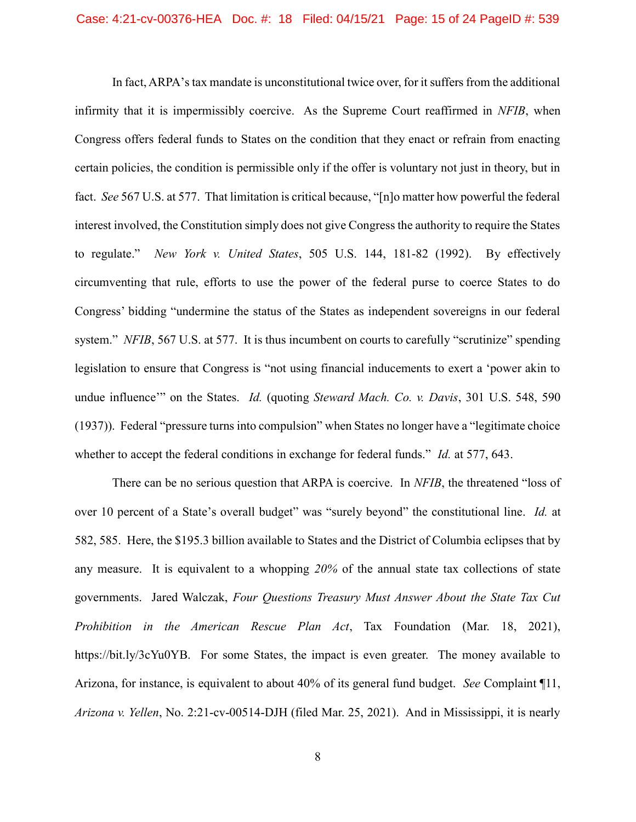In fact, ARPA's tax mandate is unconstitutional twice over, for it suffers from the additional infirmity that it is impermissibly coercive. As the Supreme Court reaffirmed in NFIB, when Congress offers federal funds to States on the condition that they enact or refrain from enacting certain policies, the condition is permissible only if the offer is voluntary not just in theory, but in fact. See 567 U.S. at 577. That limitation is critical because, "[n]o matter how powerful the federal interest involved, the Constitution simply does not give Congress the authority to require the States to regulate." New York v. United States, 505 U.S. 144, 181-82 (1992). By effectively circumventing that rule, efforts to use the power of the federal purse to coerce States to do Congress' bidding "undermine the status of the States as independent sovereigns in our federal system." NFIB, 567 U.S. at 577. It is thus incumbent on courts to carefully "scrutinize" spending legislation to ensure that Congress is "not using financial inducements to exert a 'power akin to undue influence" on the States. Id. (quoting Steward Mach. Co. v. Davis, 301 U.S. 548, 590 (1937)). Federal "pressure turns into compulsion" when States no longer have a "legitimate choice whether to accept the federal conditions in exchange for federal funds." *Id.* at 577, 643.

There can be no serious question that ARPA is coercive. In *NFIB*, the threatened "loss of over 10 percent of a State's overall budget" was "surely beyond" the constitutional line. Id. at 582, 585. Here, the \$195.3 billion available to States and the District of Columbia eclipses that by any measure. It is equivalent to a whopping 20% of the annual state tax collections of state governments. Jared Walczak, Four Questions Treasury Must Answer About the State Tax Cut Prohibition in the American Rescue Plan Act, Tax Foundation (Mar. 18, 2021), https://bit.ly/3cYu0YB. For some States, the impact is even greater. The money available to Arizona, for instance, is equivalent to about 40% of its general fund budget. See Complaint ¶11, Arizona v. Yellen, No. 2:21-cv-00514-DJH (filed Mar. 25, 2021). And in Mississippi, it is nearly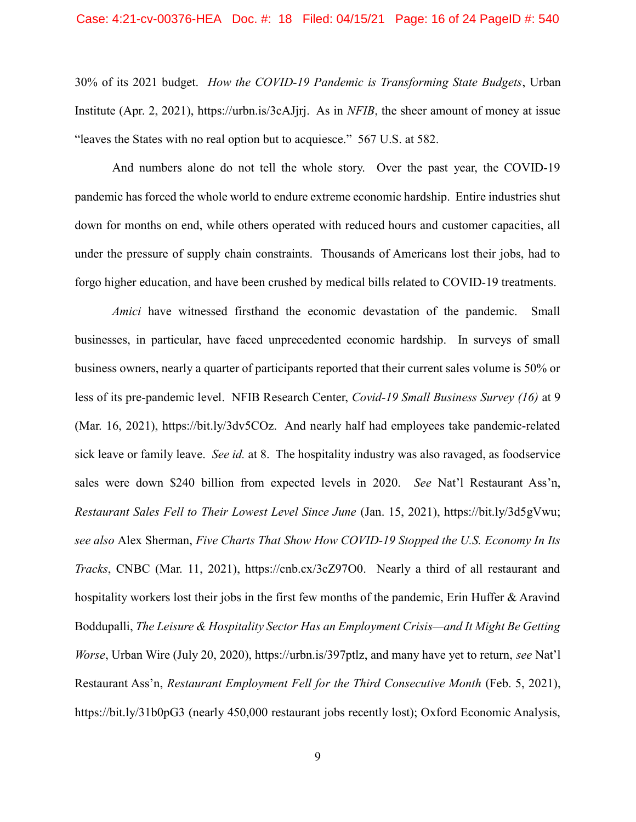30% of its 2021 budget. How the COVID-19 Pandemic is Transforming State Budgets, Urban Institute (Apr. 2, 2021), https://urbn.is/3cAJjrj. As in NFIB, the sheer amount of money at issue "leaves the States with no real option but to acquiesce." 567 U.S. at 582.

And numbers alone do not tell the whole story. Over the past year, the COVID-19 pandemic has forced the whole world to endure extreme economic hardship. Entire industries shut down for months on end, while others operated with reduced hours and customer capacities, all under the pressure of supply chain constraints. Thousands of Americans lost their jobs, had to forgo higher education, and have been crushed by medical bills related to COVID-19 treatments.

Amici have witnessed firsthand the economic devastation of the pandemic. Small businesses, in particular, have faced unprecedented economic hardship. In surveys of small business owners, nearly a quarter of participants reported that their current sales volume is 50% or less of its pre-pandemic level. NFIB Research Center, Covid-19 Small Business Survey (16) at 9 (Mar. 16, 2021), https://bit.ly/3dv5COz. And nearly half had employees take pandemic-related sick leave or family leave. See id. at 8. The hospitality industry was also ravaged, as foodservice sales were down \$240 billion from expected levels in 2020. See Nat'l Restaurant Ass'n, Restaurant Sales Fell to Their Lowest Level Since June (Jan. 15, 2021), https://bit.ly/3d5gVwu; see also Alex Sherman, Five Charts That Show How COVID-19 Stopped the U.S. Economy In Its Tracks, CNBC (Mar. 11, 2021), https://cnb.cx/3cZ97O0. Nearly a third of all restaurant and hospitality workers lost their jobs in the first few months of the pandemic, Erin Huffer & Aravind Boddupalli, The Leisure & Hospitality Sector Has an Employment Crisis—and It Might Be Getting Worse, Urban Wire (July 20, 2020), https://urbn.is/397ptlz, and many have yet to return, see Nat'l Restaurant Ass'n, Restaurant Employment Fell for the Third Consecutive Month (Feb. 5, 2021), https://bit.ly/31b0pG3 (nearly 450,000 restaurant jobs recently lost); Oxford Economic Analysis,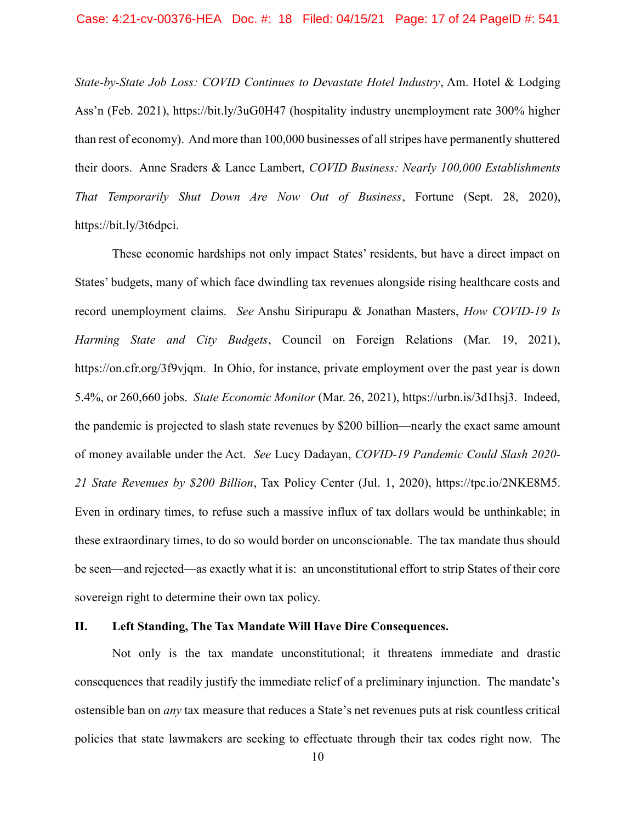State-by-State Job Loss: COVID Continues to Devastate Hotel Industry, Am. Hotel & Lodging Ass'n (Feb. 2021), https://bit.ly/3uG0H47 (hospitality industry unemployment rate 300% higher than rest of economy). And more than 100,000 businesses of all stripes have permanently shuttered their doors. Anne Sraders & Lance Lambert, COVID Business: Nearly 100,000 Establishments That Temporarily Shut Down Are Now Out of Business, Fortune (Sept. 28, 2020), https://bit.ly/3t6dpci.

These economic hardships not only impact States' residents, but have a direct impact on States' budgets, many of which face dwindling tax revenues alongside rising healthcare costs and record unemployment claims. See Anshu Siripurapu & Jonathan Masters, How COVID-19 Is Harming State and City Budgets, Council on Foreign Relations (Mar. 19, 2021), https://on.cfr.org/3f9vjqm. In Ohio, for instance, private employment over the past year is down 5.4%, or 260,660 jobs. State Economic Monitor (Mar. 26, 2021), https://urbn.is/3d1hsj3. Indeed, the pandemic is projected to slash state revenues by \$200 billion—nearly the exact same amount of money available under the Act. See Lucy Dadayan, COVID-19 Pandemic Could Slash 2020- 21 State Revenues by \$200 Billion, Tax Policy Center (Jul. 1, 2020), https://tpc.io/2NKE8M5. Even in ordinary times, to refuse such a massive influx of tax dollars would be unthinkable; in these extraordinary times, to do so would border on unconscionable. The tax mandate thus should be seen—and rejected—as exactly what it is: an unconstitutional effort to strip States of their core sovereign right to determine their own tax policy.

#### II. Left Standing, The Tax Mandate Will Have Dire Consequences.

Not only is the tax mandate unconstitutional; it threatens immediate and drastic consequences that readily justify the immediate relief of a preliminary injunction. The mandate's ostensible ban on any tax measure that reduces a State's net revenues puts at risk countless critical policies that state lawmakers are seeking to effectuate through their tax codes right now. The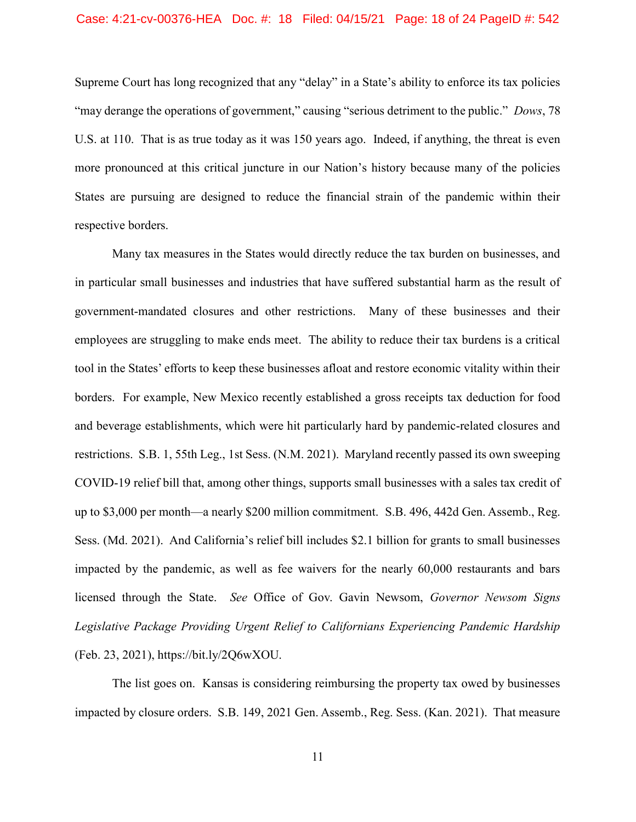Supreme Court has long recognized that any "delay" in a State's ability to enforce its tax policies "may derange the operations of government," causing "serious detriment to the public." Dows, 78 U.S. at 110. That is as true today as it was 150 years ago. Indeed, if anything, the threat is even more pronounced at this critical juncture in our Nation's history because many of the policies States are pursuing are designed to reduce the financial strain of the pandemic within their respective borders.

Many tax measures in the States would directly reduce the tax burden on businesses, and in particular small businesses and industries that have suffered substantial harm as the result of government-mandated closures and other restrictions. Many of these businesses and their employees are struggling to make ends meet. The ability to reduce their tax burdens is a critical tool in the States' efforts to keep these businesses afloat and restore economic vitality within their borders. For example, New Mexico recently established a gross receipts tax deduction for food and beverage establishments, which were hit particularly hard by pandemic-related closures and restrictions. S.B. 1, 55th Leg., 1st Sess. (N.M. 2021). Maryland recently passed its own sweeping COVID-19 relief bill that, among other things, supports small businesses with a sales tax credit of up to \$3,000 per month—a nearly \$200 million commitment. S.B. 496, 442d Gen. Assemb., Reg. Sess. (Md. 2021). And California's relief bill includes \$2.1 billion for grants to small businesses impacted by the pandemic, as well as fee waivers for the nearly 60,000 restaurants and bars licensed through the State. See Office of Gov. Gavin Newsom, Governor Newsom Signs Legislative Package Providing Urgent Relief to Californians Experiencing Pandemic Hardship (Feb. 23, 2021), https://bit.ly/2Q6wXOU.

The list goes on. Kansas is considering reimbursing the property tax owed by businesses impacted by closure orders. S.B. 149, 2021 Gen. Assemb., Reg. Sess. (Kan. 2021). That measure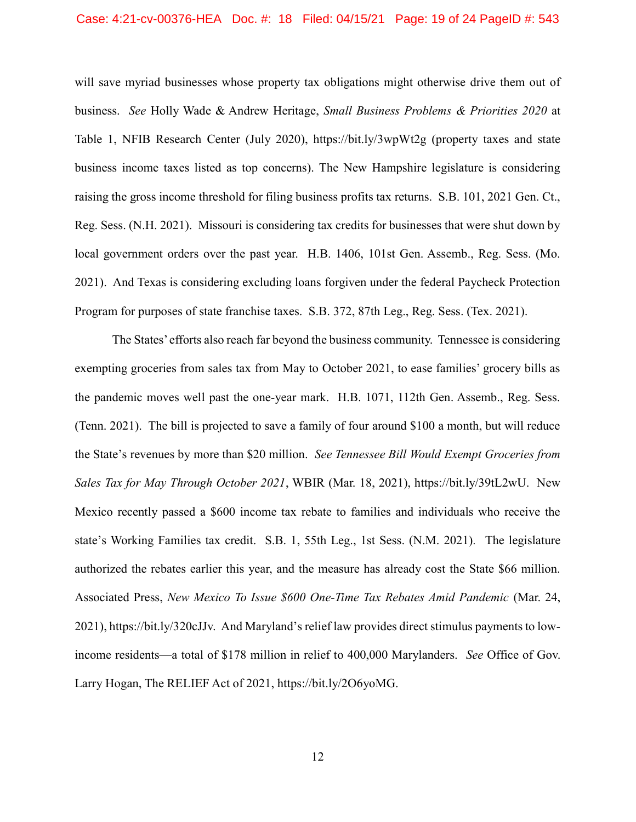#### Case: 4:21-cv-00376-HEA Doc. #: 18 Filed: 04/15/21 Page: 19 of 24 PageID #: 543

will save myriad businesses whose property tax obligations might otherwise drive them out of business. See Holly Wade & Andrew Heritage, Small Business Problems & Priorities 2020 at Table 1, NFIB Research Center (July 2020), https://bit.ly/3wpWt2g (property taxes and state business income taxes listed as top concerns). The New Hampshire legislature is considering raising the gross income threshold for filing business profits tax returns. S.B. 101, 2021 Gen. Ct., Reg. Sess. (N.H. 2021). Missouri is considering tax credits for businesses that were shut down by local government orders over the past year. H.B. 1406, 101st Gen. Assemb., Reg. Sess. (Mo. 2021). And Texas is considering excluding loans forgiven under the federal Paycheck Protection Program for purposes of state franchise taxes. S.B. 372, 87th Leg., Reg. Sess. (Tex. 2021).

The States' efforts also reach far beyond the business community. Tennessee is considering exempting groceries from sales tax from May to October 2021, to ease families' grocery bills as the pandemic moves well past the one-year mark. H.B. 1071, 112th Gen. Assemb., Reg. Sess. (Tenn. 2021). The bill is projected to save a family of four around \$100 a month, but will reduce the State's revenues by more than \$20 million. See Tennessee Bill Would Exempt Groceries from Sales Tax for May Through October 2021, WBIR (Mar. 18, 2021), https://bit.ly/39tL2wU. New Mexico recently passed a \$600 income tax rebate to families and individuals who receive the state's Working Families tax credit. S.B. 1, 55th Leg., 1st Sess. (N.M. 2021). The legislature authorized the rebates earlier this year, and the measure has already cost the State \$66 million. Associated Press, New Mexico To Issue \$600 One-Time Tax Rebates Amid Pandemic (Mar. 24, 2021), https://bit.ly/320cJJv. And Maryland's relief law provides direct stimulus payments to lowincome residents—a total of \$178 million in relief to 400,000 Marylanders. See Office of Gov. Larry Hogan, The RELIEF Act of 2021, https://bit.ly/2O6yoMG.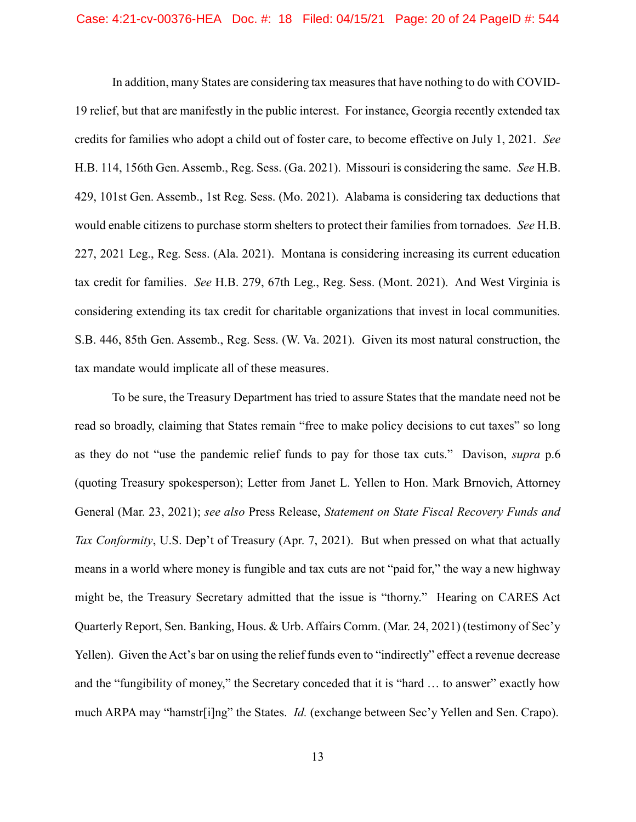In addition, many States are considering tax measures that have nothing to do with COVID-19 relief, but that are manifestly in the public interest. For instance, Georgia recently extended tax credits for families who adopt a child out of foster care, to become effective on July 1, 2021. See H.B. 114, 156th Gen. Assemb., Reg. Sess. (Ga. 2021). Missouri is considering the same. See H.B. 429, 101st Gen. Assemb., 1st Reg. Sess. (Mo. 2021). Alabama is considering tax deductions that would enable citizens to purchase storm shelters to protect their families from tornadoes. See H.B. 227, 2021 Leg., Reg. Sess. (Ala. 2021). Montana is considering increasing its current education tax credit for families. See H.B. 279, 67th Leg., Reg. Sess. (Mont. 2021). And West Virginia is considering extending its tax credit for charitable organizations that invest in local communities. S.B. 446, 85th Gen. Assemb., Reg. Sess. (W. Va. 2021). Given its most natural construction, the tax mandate would implicate all of these measures.

To be sure, the Treasury Department has tried to assure States that the mandate need not be read so broadly, claiming that States remain "free to make policy decisions to cut taxes" so long as they do not "use the pandemic relief funds to pay for those tax cuts." Davison, supra p.6 (quoting Treasury spokesperson); Letter from Janet L. Yellen to Hon. Mark Brnovich, Attorney General (Mar. 23, 2021); see also Press Release, Statement on State Fiscal Recovery Funds and Tax Conformity, U.S. Dep't of Treasury (Apr. 7, 2021). But when pressed on what that actually means in a world where money is fungible and tax cuts are not "paid for," the way a new highway might be, the Treasury Secretary admitted that the issue is "thorny." Hearing on CARES Act Quarterly Report, Sen. Banking, Hous. & Urb. Affairs Comm. (Mar. 24, 2021) (testimony of Sec'y Yellen). Given the Act's bar on using the relief funds even to "indirectly" effect a revenue decrease and the "fungibility of money," the Secretary conceded that it is "hard … to answer" exactly how much ARPA may "hamstr[i]ng" the States. *Id.* (exchange between Sec'y Yellen and Sen. Crapo).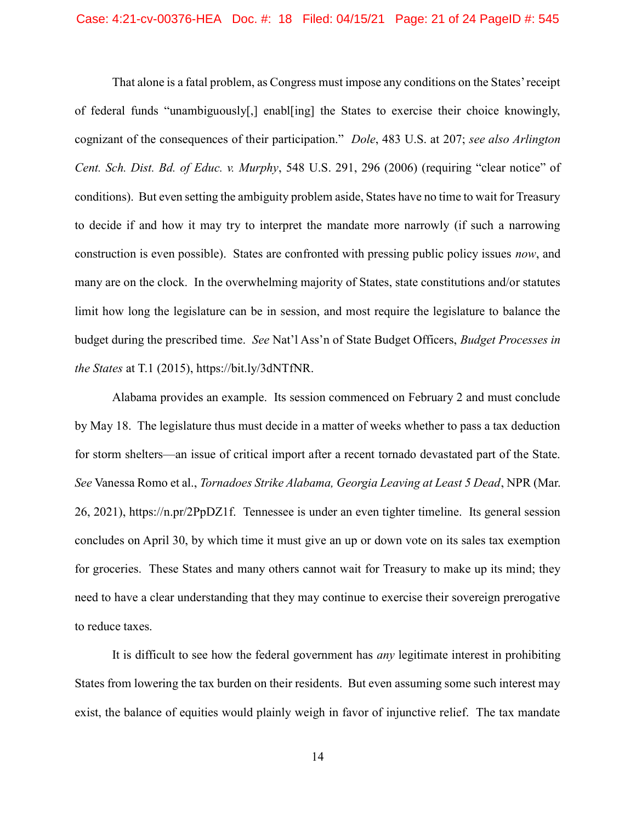That alone is a fatal problem, as Congress must impose any conditions on the States' receipt of federal funds "unambiguously[,] enabl[ing] the States to exercise their choice knowingly, cognizant of the consequences of their participation." Dole, 483 U.S. at 207; see also Arlington Cent. Sch. Dist. Bd. of Educ. v. Murphy, 548 U.S. 291, 296 (2006) (requiring "clear notice" of conditions). But even setting the ambiguity problem aside, States have no time to wait for Treasury to decide if and how it may try to interpret the mandate more narrowly (if such a narrowing construction is even possible). States are confronted with pressing public policy issues now, and many are on the clock. In the overwhelming majority of States, state constitutions and/or statutes limit how long the legislature can be in session, and most require the legislature to balance the budget during the prescribed time. See Nat'l Ass'n of State Budget Officers, Budget Processes in the States at T.1 (2015), https://bit.ly/3dNTfNR.

Alabama provides an example. Its session commenced on February 2 and must conclude by May 18. The legislature thus must decide in a matter of weeks whether to pass a tax deduction for storm shelters—an issue of critical import after a recent tornado devastated part of the State. See Vanessa Romo et al., *Tornadoes Strike Alabama, Georgia Leaving at Least 5 Dead*, NPR (Mar. 26, 2021), https://n.pr/2PpDZ1f. Tennessee is under an even tighter timeline. Its general session concludes on April 30, by which time it must give an up or down vote on its sales tax exemption for groceries. These States and many others cannot wait for Treasury to make up its mind; they need to have a clear understanding that they may continue to exercise their sovereign prerogative to reduce taxes.

It is difficult to see how the federal government has *any* legitimate interest in prohibiting States from lowering the tax burden on their residents. But even assuming some such interest may exist, the balance of equities would plainly weigh in favor of injunctive relief. The tax mandate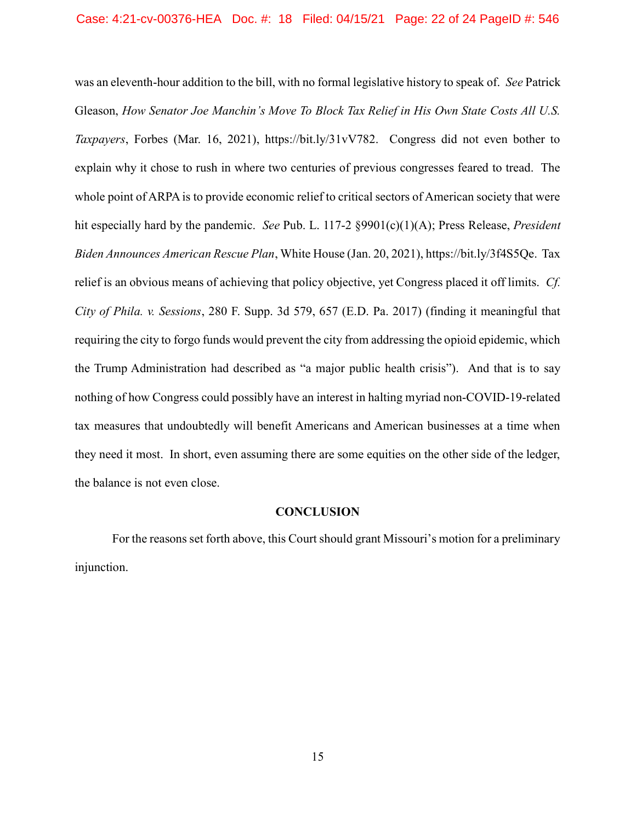was an eleventh-hour addition to the bill, with no formal legislative history to speak of. See Patrick Gleason, How Senator Joe Manchin's Move To Block Tax Relief in His Own State Costs All U.S. Taxpayers, Forbes (Mar. 16, 2021), https://bit.ly/31vV782. Congress did not even bother to explain why it chose to rush in where two centuries of previous congresses feared to tread. The whole point of ARPA is to provide economic relief to critical sectors of American society that were hit especially hard by the pandemic. See Pub. L. 117-2 §9901(c)(1)(A); Press Release, President Biden Announces American Rescue Plan, White House (Jan. 20, 2021), https://bit.ly/3f4S5Qe. Tax relief is an obvious means of achieving that policy objective, yet Congress placed it off limits. Cf. City of Phila. v. Sessions, 280 F. Supp. 3d 579, 657 (E.D. Pa. 2017) (finding it meaningful that requiring the city to forgo funds would prevent the city from addressing the opioid epidemic, which the Trump Administration had described as "a major public health crisis"). And that is to say nothing of how Congress could possibly have an interest in halting myriad non-COVID-19-related tax measures that undoubtedly will benefit Americans and American businesses at a time when they need it most. In short, even assuming there are some equities on the other side of the ledger, the balance is not even close.

#### **CONCLUSION**

For the reasons set forth above, this Court should grant Missouri's motion for a preliminary injunction.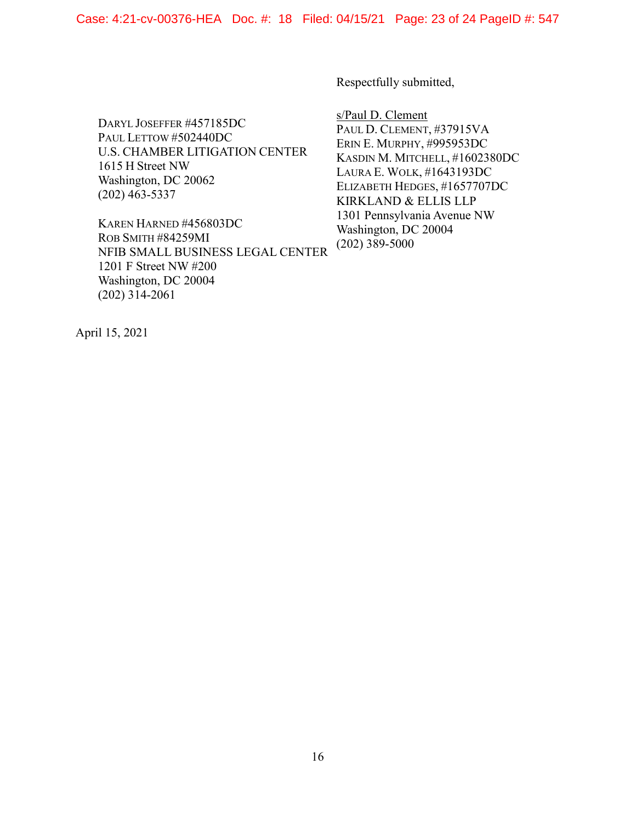Respectfully submitted,

DARYL JOSEFFER #457185DC PAUL LETTOW #502440DC U.S. CHAMBER LITIGATION CENTER 1615 H Street NW Washington, DC 20062 (202) 463-5337

KAREN HARNED #456803DC ROB SMITH #84259MI NFIB SMALL BUSINESS LEGAL CENTER 1201 F Street NW #200 Washington, DC 20004 (202) 314-2061

s/Paul D. Clement PAUL D. CLEMENT, #37915VA ERIN E. MURPHY, #995953DC KASDIN M. MITCHELL, #1602380DC LAURA E. WOLK, #1643193DC ELIZABETH HEDGES, #1657707DC KIRKLAND & ELLIS LLP 1301 Pennsylvania Avenue NW Washington, DC 20004 (202) 389-5000

April 15, 2021